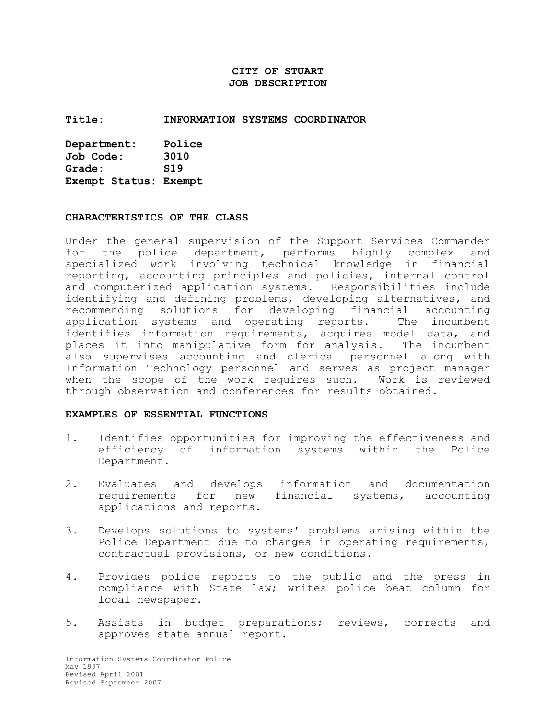# **CITY OF STUART JOB DESCRIPTION**

#### **Title: INFORMATION SYSTEMS COORDINATOR**

| Department:           | Police          |  |
|-----------------------|-----------------|--|
| Job Code:             | 3010            |  |
| Grade:                | S <sub>19</sub> |  |
| Exempt Status: Exempt |                 |  |

#### **CHARACTERISTICS OF THE CLASS**

Under the general supervision of the Support Services Commander for the police department, performs highly complex and specialized work involving technical knowledge in financial reporting, accounting principles and policies, internal control and computerized application systems. Responsibilities include identifying and defining problems, developing alternatives, and recommending solutions for developing financial accounting application systems and operating reports. The incumbent identifies information requirements, acquires model data, and places it into manipulative form for analysis. The incumbent also supervises accounting and clerical personnel along with Information Technology personnel and serves as project manager when the scope of the work requires such. Work is reviewed through observation and conferences for results obtained.

#### **EXAMPLES OF ESSENTIAL FUNCTIONS**

- 1. Identifies opportunities for improving the effectiveness and efficiency of information systems within the Police Department.
- 2. Evaluates and develops information and documentation requirements for new financial systems, accounting applications and reports.
- 3. Develops solutions to systems' problems arising within the Police Department due to changes in operating requirements, contractual provisions, or new conditions.
- 4. Provides police reports to the public and the press in compliance with State law; writes police beat column for local newspaper.
- 5. Assists in budget preparations; reviews, corrects and approves state annual report.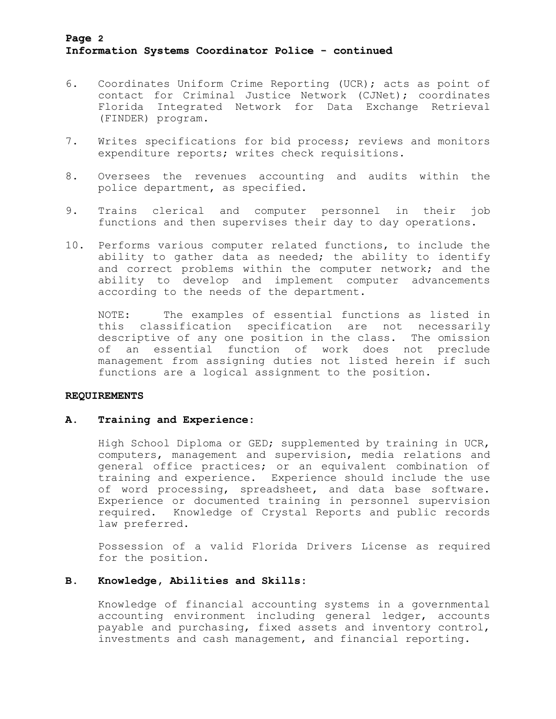# **Page 2 Information Systems Coordinator Police - continued**

- 6. Coordinates Uniform Crime Reporting (UCR); acts as point of contact for Criminal Justice Network (CJNet); coordinates Florida Integrated Network for Data Exchange Retrieval (FINDER) program.
- 7. Writes specifications for bid process; reviews and monitors expenditure reports; writes check requisitions.
- 8. Oversees the revenues accounting and audits within the police department, as specified.
- 9. Trains clerical and computer personnel in their job functions and then supervises their day to day operations.
- 10. Performs various computer related functions, to include the ability to gather data as needed; the ability to identify and correct problems within the computer network; and the ability to develop and implement computer advancements according to the needs of the department.

NOTE: The examples of essential functions as listed in this classification specification are not necessarily descriptive of any one position in the class. The omission of an essential function of work does not preclude management from assigning duties not listed herein if such functions are a logical assignment to the position.

## **REQUIREMENTS**

#### **A. Training and Experience:**

High School Diploma or GED; supplemented by training in UCR, computers, management and supervision, media relations and general office practices; or an equivalent combination of training and experience. Experience should include the use of word processing, spreadsheet, and data base software. Experience or documented training in personnel supervision required. Knowledge of Crystal Reports and public records law preferred.

Possession of a valid Florida Drivers License as required for the position.

## **B. Knowledge, Abilities and Skills:**

Knowledge of financial accounting systems in a governmental accounting environment including general ledger, accounts payable and purchasing, fixed assets and inventory control, investments and cash management, and financial reporting.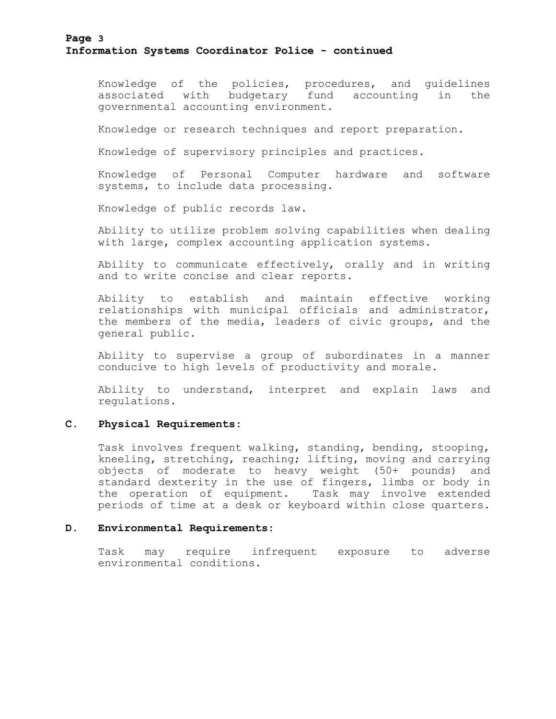# **Page 3 Information Systems Coordinator Police - continued**

Knowledge of the policies, procedures, and guidelines associated with budgetary fund accounting in the governmental accounting environment.

Knowledge or research techniques and report preparation.

Knowledge of supervisory principles and practices.

Knowledge of Personal Computer hardware and software systems, to include data processing.

Knowledge of public records law.

Ability to utilize problem solving capabilities when dealing with large, complex accounting application systems.

Ability to communicate effectively, orally and in writing and to write concise and clear reports.

Ability to establish and maintain effective working relationships with municipal officials and administrator, the members of the media, leaders of civic groups, and the general public.

Ability to supervise a group of subordinates in a manner conducive to high levels of productivity and morale.

Ability to understand, interpret and explain laws and regulations.

### **C. Physical Requirements:**

Task involves frequent walking, standing, bending, stooping, kneeling, stretching, reaching; lifting, moving and carrying objects of moderate to heavy weight (50+ pounds) and standard dexterity in the use of fingers, limbs or body in the operation of equipment. Task may involve extended periods of time at a desk or keyboard within close quarters.

#### **D. Environmental Requirements:**

Task may require infrequent exposure to adverse environmental conditions.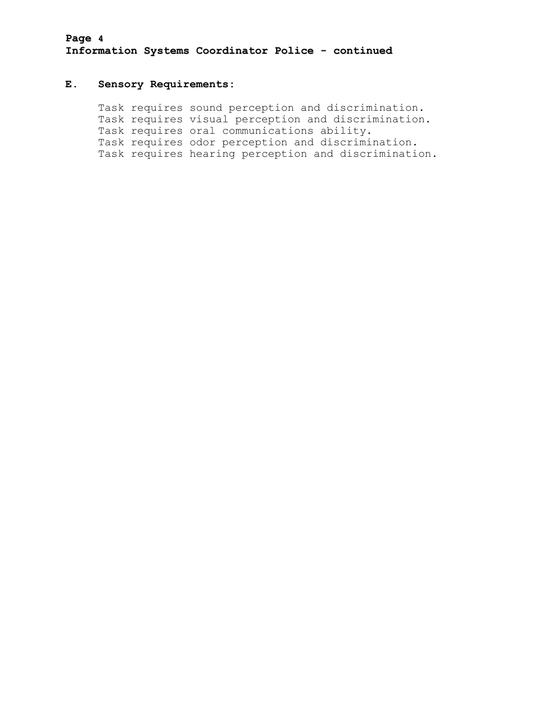# **Page 4 Information Systems Coordinator Police - continued**

## **E. Sensory Requirements:**

Task requires sound perception and discrimination. Task requires visual perception and discrimination. Task requires oral communications ability. Task requires odor perception and discrimination. Task requires hearing perception and discrimination.